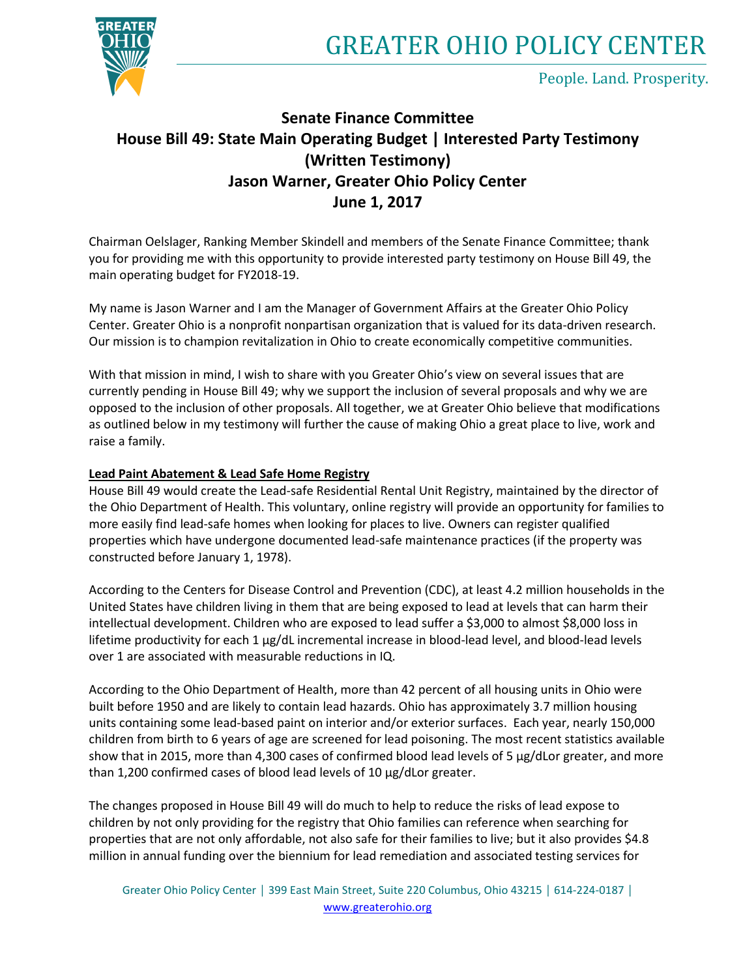



People. Land. Prosperity.

# **Senate Finance Committee House Bill 49: State Main Operating Budget | Interested Party Testimony (Written Testimony) Jason Warner, Greater Ohio Policy Center June 1, 2017**

Chairman Oelslager, Ranking Member Skindell and members of the Senate Finance Committee; thank you for providing me with this opportunity to provide interested party testimony on House Bill 49, the main operating budget for FY2018-19.

My name is Jason Warner and I am the Manager of Government Affairs at the Greater Ohio Policy Center. Greater Ohio is a nonprofit nonpartisan organization that is valued for its data-driven research. Our mission is to champion revitalization in Ohio to create economically competitive communities.

With that mission in mind, I wish to share with you Greater Ohio's view on several issues that are currently pending in House Bill 49; why we support the inclusion of several proposals and why we are opposed to the inclusion of other proposals. All together, we at Greater Ohio believe that modifications as outlined below in my testimony will further the cause of making Ohio a great place to live, work and raise a family.

# **Lead Paint Abatement & Lead Safe Home Registry**

House Bill 49 would create the Lead-safe Residential Rental Unit Registry, maintained by the director of the Ohio Department of Health. This voluntary, online registry will provide an opportunity for families to more easily find lead-safe homes when looking for places to live. Owners can register qualified properties which have undergone documented lead-safe maintenance practices (if the property was constructed before January 1, 1978).

According to the Centers for Disease Control and Prevention (CDC), at least 4.2 million households in the United States have children living in them that are being exposed to lead at levels that can harm their intellectual development. Children who are exposed to lead suffer a \$3,000 to almost \$8,000 loss in lifetime productivity for each 1 µg/dL incremental increase in blood-lead level, and blood-lead levels over 1 are associated with measurable reductions in IQ.

According to the Ohio Department of Health, more than 42 percent of all housing units in Ohio were built before 1950 and are likely to contain lead hazards. Ohio has approximately 3.7 million housing units containing some lead-based paint on interior and/or exterior surfaces. Each year, nearly 150,000 children from birth to 6 years of age are screened for lead poisoning. The most recent statistics available show that in 2015, more than 4,300 cases of confirmed blood lead levels of 5 μg/dLor greater, and more than 1,200 confirmed cases of blood lead levels of 10 μg/dLor greater.

The changes proposed in House Bill 49 will do much to help to reduce the risks of lead expose to children by not only providing for the registry that Ohio families can reference when searching for properties that are not only affordable, not also safe for their families to live; but it also provides \$4.8 million in annual funding over the biennium for lead remediation and associated testing services for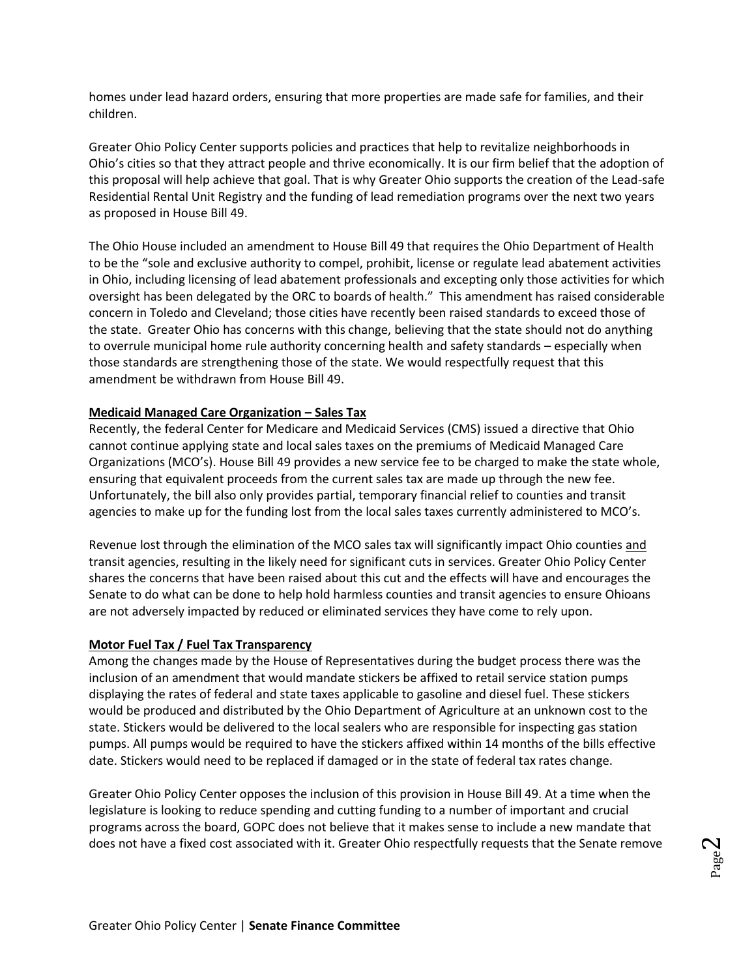homes under lead hazard orders, ensuring that more properties are made safe for families, and their children.

Greater Ohio Policy Center supports policies and practices that help to revitalize neighborhoods in Ohio's cities so that they attract people and thrive economically. It is our firm belief that the adoption of this proposal will help achieve that goal. That is why Greater Ohio supports the creation of the Lead-safe Residential Rental Unit Registry and the funding of lead remediation programs over the next two years as proposed in House Bill 49.

The Ohio House included an amendment to House Bill 49 that requires the Ohio Department of Health to be the "sole and exclusive authority to compel, prohibit, license or regulate lead abatement activities in Ohio, including licensing of lead abatement professionals and excepting only those activities for which oversight has been delegated by the ORC to boards of health." This amendment has raised considerable concern in Toledo and Cleveland; those cities have recently been raised standards to exceed those of the state. Greater Ohio has concerns with this change, believing that the state should not do anything to overrule municipal home rule authority concerning health and safety standards – especially when those standards are strengthening those of the state. We would respectfully request that this amendment be withdrawn from House Bill 49.

## **Medicaid Managed Care Organization – Sales Tax**

Recently, the federal Center for Medicare and Medicaid Services (CMS) issued a directive that Ohio cannot continue applying state and local sales taxes on the premiums of Medicaid Managed Care Organizations (MCO's). House Bill 49 provides a new service fee to be charged to make the state whole, ensuring that equivalent proceeds from the current sales tax are made up through the new fee. Unfortunately, the bill also only provides partial, temporary financial relief to counties and transit agencies to make up for the funding lost from the local sales taxes currently administered to MCO's.

Revenue lost through the elimination of the MCO sales tax will significantly impact Ohio counties and transit agencies, resulting in the likely need for significant cuts in services. Greater Ohio Policy Center shares the concerns that have been raised about this cut and the effects will have and encourages the Senate to do what can be done to help hold harmless counties and transit agencies to ensure Ohioans are not adversely impacted by reduced or eliminated services they have come to rely upon.

#### **Motor Fuel Tax / Fuel Tax Transparency**

Among the changes made by the House of Representatives during the budget process there was the inclusion of an amendment that would mandate stickers be affixed to retail service station pumps displaying the rates of federal and state taxes applicable to gasoline and diesel fuel. These stickers would be produced and distributed by the Ohio Department of Agriculture at an unknown cost to the state. Stickers would be delivered to the local sealers who are responsible for inspecting gas station pumps. All pumps would be required to have the stickers affixed within 14 months of the bills effective date. Stickers would need to be replaced if damaged or in the state of federal tax rates change.

Greater Ohio Policy Center opposes the inclusion of this provision in House Bill 49. At a time when the legislature is looking to reduce spending and cutting funding to a number of important and crucial programs across the board, GOPC does not believe that it makes sense to include a new mandate that does not have a fixed cost associated with it. Greater Ohio respectfully requests that the Senate remove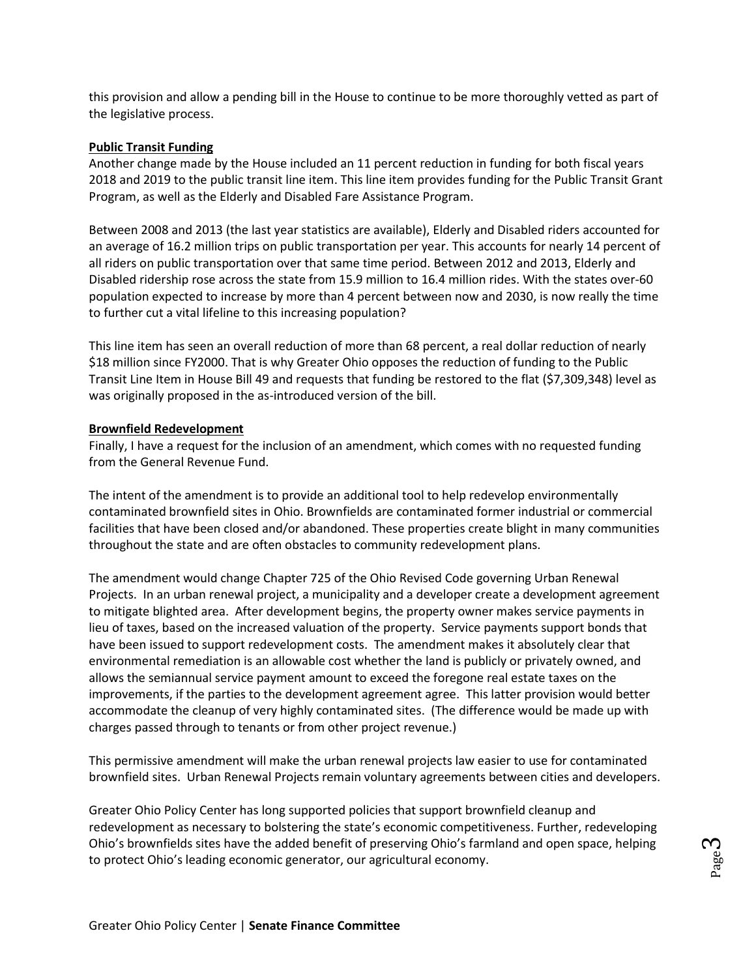this provision and allow a pending bill in the House to continue to be more thoroughly vetted as part of the legislative process.

#### **Public Transit Funding**

Another change made by the House included an 11 percent reduction in funding for both fiscal years 2018 and 2019 to the public transit line item. This line item provides funding for the Public Transit Grant Program, as well as the Elderly and Disabled Fare Assistance Program.

Between 2008 and 2013 (the last year statistics are available), Elderly and Disabled riders accounted for an average of 16.2 million trips on public transportation per year. This accounts for nearly 14 percent of all riders on public transportation over that same time period. Between 2012 and 2013, Elderly and Disabled ridership rose across the state from 15.9 million to 16.4 million rides. With the states over-60 population expected to increase by more than 4 percent between now and 2030, is now really the time to further cut a vital lifeline to this increasing population?

This line item has seen an overall reduction of more than 68 percent, a real dollar reduction of nearly \$18 million since FY2000. That is why Greater Ohio opposes the reduction of funding to the Public Transit Line Item in House Bill 49 and requests that funding be restored to the flat (\$7,309,348) level as was originally proposed in the as-introduced version of the bill.

## **Brownfield Redevelopment**

Finally, I have a request for the inclusion of an amendment, which comes with no requested funding from the General Revenue Fund.

The intent of the amendment is to provide an additional tool to help redevelop environmentally contaminated brownfield sites in Ohio. Brownfields are contaminated former industrial or commercial facilities that have been closed and/or abandoned. These properties create blight in many communities throughout the state and are often obstacles to community redevelopment plans.

The amendment would change Chapter 725 of the Ohio Revised Code governing Urban Renewal Projects. In an urban renewal project, a municipality and a developer create a development agreement to mitigate blighted area. After development begins, the property owner makes service payments in lieu of taxes, based on the increased valuation of the property. Service payments support bonds that have been issued to support redevelopment costs. The amendment makes it absolutely clear that environmental remediation is an allowable cost whether the land is publicly or privately owned, and allows the semiannual service payment amount to exceed the foregone real estate taxes on the improvements, if the parties to the development agreement agree. This latter provision would better accommodate the cleanup of very highly contaminated sites. (The difference would be made up with charges passed through to tenants or from other project revenue.)

This permissive amendment will make the urban renewal projects law easier to use for contaminated brownfield sites. Urban Renewal Projects remain voluntary agreements between cities and developers.

Greater Ohio Policy Center has long supported policies that support brownfield cleanup and redevelopment as necessary to bolstering the state's economic competitiveness. Further, redeveloping Ohio's brownfields sites have the added benefit of preserving Ohio's farmland and open space, helping to protect Ohio's leading economic generator, our agricultural economy.